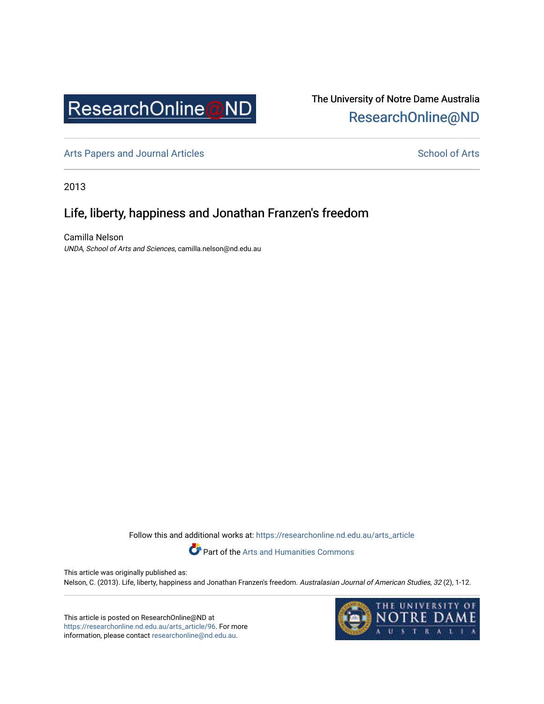

# The University of Notre Dame Australia [ResearchOnline@ND](https://researchonline.nd.edu.au/)

[Arts Papers and Journal Articles](https://researchonline.nd.edu.au/arts_article) and [School of Arts](https://researchonline.nd.edu.au/arts) School of Arts

2013

## Life, liberty, happiness and Jonathan Franzen's freedom

Camilla Nelson UNDA, School of Arts and Sciences, camilla.nelson@nd.edu.au

Follow this and additional works at: [https://researchonline.nd.edu.au/arts\\_article](https://researchonline.nd.edu.au/arts_article?utm_source=researchonline.nd.edu.au%2Farts_article%2F96&utm_medium=PDF&utm_campaign=PDFCoverPages) 



Part of the [Arts and Humanities Commons](http://network.bepress.com/hgg/discipline/438?utm_source=researchonline.nd.edu.au%2Farts_article%2F96&utm_medium=PDF&utm_campaign=PDFCoverPages) 

This article was originally published as: Nelson, C. (2013). Life, liberty, happiness and Jonathan Franzen's freedom. Australasian Journal of American Studies, 32 (2), 1-12.

This article is posted on ResearchOnline@ND at [https://researchonline.nd.edu.au/arts\\_article/96.](https://researchonline.nd.edu.au/arts_article/96) For more information, please contact [researchonline@nd.edu.au.](mailto:researchonline@nd.edu.au)

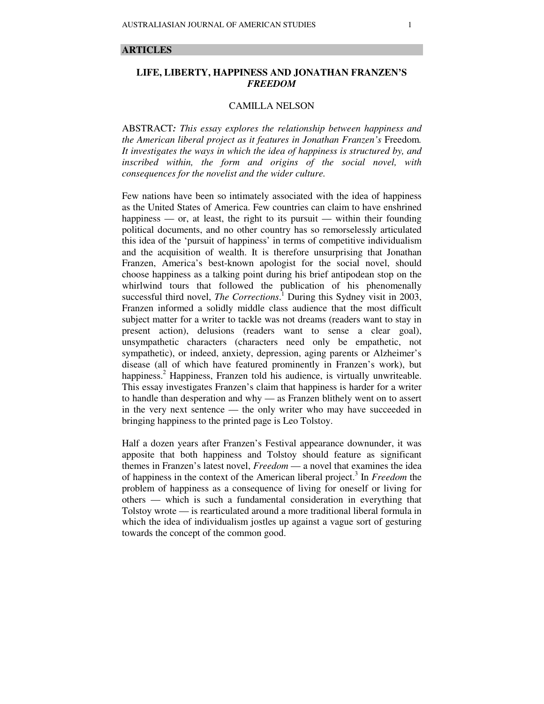#### **ARTICLES**

## **LIFE, LIBERTY, HAPPINESS AND JONATHAN FRANZEN'S**  *FREEDOM*

### CAMILLA NELSON

ABSTRACT*: This essay explores the relationship between happiness and the American liberal project as it features in Jonathan Franzen's* Freedom*. It investigates the ways in which the idea of happiness is structured by, and inscribed within, the form and origins of the social novel, with consequences for the novelist and the wider culture.* 

Few nations have been so intimately associated with the idea of happiness as the United States of America. Few countries can claim to have enshrined happiness — or, at least, the right to its pursuit — within their founding political documents, and no other country has so remorselessly articulated this idea of the 'pursuit of happiness' in terms of competitive individualism and the acquisition of wealth. It is therefore unsurprising that Jonathan Franzen, America's best-known apologist for the social novel, should choose happiness as a talking point during his brief antipodean stop on the whirlwind tours that followed the publication of his phenomenally successful third novel, *The Corrections*.<sup>1</sup> During this Sydney visit in 2003, Franzen informed a solidly middle class audience that the most difficult subject matter for a writer to tackle was not dreams (readers want to stay in present action), delusions (readers want to sense a clear goal), unsympathetic characters (characters need only be empathetic, not sympathetic), or indeed, anxiety, depression, aging parents or Alzheimer's disease (all of which have featured prominently in Franzen's work), but happiness.<sup>2</sup> Happiness, Franzen told his audience, is virtually unwriteable. This essay investigates Franzen's claim that happiness is harder for a writer to handle than desperation and why — as Franzen blithely went on to assert in the very next sentence — the only writer who may have succeeded in bringing happiness to the printed page is Leo Tolstoy.

Half a dozen years after Franzen's Festival appearance downunder, it was apposite that both happiness and Tolstoy should feature as significant themes in Franzen's latest novel, *Freedom* — a novel that examines the idea of happiness in the context of the American liberal project.<sup>3</sup> In *Freedom* the problem of happiness as a consequence of living for oneself or living for others — which is such a fundamental consideration in everything that Tolstoy wrote — is rearticulated around a more traditional liberal formula in which the idea of individualism jostles up against a vague sort of gesturing towards the concept of the common good.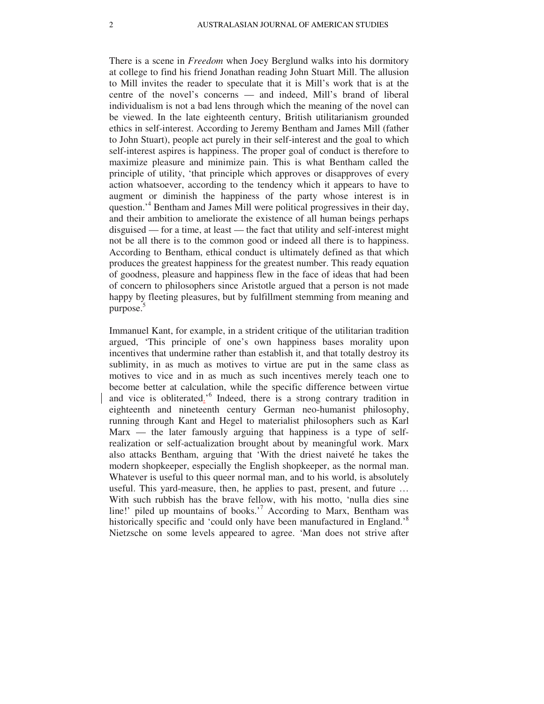There is a scene in *Freedom* when Joey Berglund walks into his dormitory at college to find his friend Jonathan reading John Stuart Mill. The allusion to Mill invites the reader to speculate that it is Mill's work that is at the centre of the novel's concerns — and indeed, Mill's brand of liberal individualism is not a bad lens through which the meaning of the novel can be viewed. In the late eighteenth century, British utilitarianism grounded ethics in self-interest. According to Jeremy Bentham and James Mill (father to John Stuart), people act purely in their self-interest and the goal to which self-interest aspires is happiness. The proper goal of conduct is therefore to maximize pleasure and minimize pain. This is what Bentham called the principle of utility, 'that principle which approves or disapproves of every action whatsoever, according to the tendency which it appears to have to augment or diminish the happiness of the party whose interest is in question.<sup>4</sup> Bentham and James Mill were political progressives in their day, and their ambition to ameliorate the existence of all human beings perhaps disguised — for a time, at least — the fact that utility and self-interest might not be all there is to the common good or indeed all there is to happiness. According to Bentham, ethical conduct is ultimately defined as that which produces the greatest happiness for the greatest number. This ready equation of goodness, pleasure and happiness flew in the face of ideas that had been of concern to philosophers since Aristotle argued that a person is not made happy by fleeting pleasures, but by fulfillment stemming from meaning and purpose.<sup>5</sup>

Immanuel Kant, for example, in a strident critique of the utilitarian tradition argued, 'This principle of one's own happiness bases morality upon incentives that undermine rather than establish it, and that totally destroy its sublimity, in as much as motives to virtue are put in the same class as motives to vice and in as much as such incentives merely teach one to become better at calculation, while the specific difference between virtue and vice is obliterated.<sup>'6</sup> Indeed, there is a strong contrary tradition in eighteenth and nineteenth century German neo-humanist philosophy, running through Kant and Hegel to materialist philosophers such as Karl  $Max$  — the later famously arguing that happiness is a type of selfrealization or self-actualization brought about by meaningful work. Marx also attacks Bentham, arguing that 'With the driest naiveté he takes the modern shopkeeper, especially the English shopkeeper, as the normal man. Whatever is useful to this queer normal man, and to his world, is absolutely useful. This yard-measure, then, he applies to past, present, and future … With such rubbish has the brave fellow, with his motto, 'nulla dies sine line!' piled up mountains of books.'<sup>7</sup> According to Marx, Bentham was historically specific and 'could only have been manufactured in England.'<sup>8</sup> Nietzsche on some levels appeared to agree. 'Man does not strive after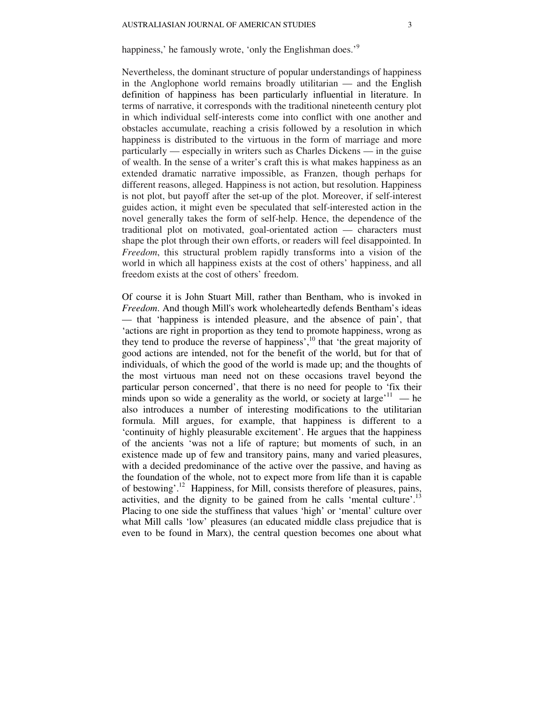## happiness,' he famously wrote, 'only the Englishman does.'<sup>9</sup>

Nevertheless, the dominant structure of popular understandings of happiness in the Anglophone world remains broadly utilitarian — and the English definition of happiness has been particularly influential in literature. In terms of narrative, it corresponds with the traditional nineteenth century plot in which individual self-interests come into conflict with one another and obstacles accumulate, reaching a crisis followed by a resolution in which happiness is distributed to the virtuous in the form of marriage and more particularly — especially in writers such as Charles Dickens — in the guise of wealth. In the sense of a writer's craft this is what makes happiness as an extended dramatic narrative impossible, as Franzen, though perhaps for different reasons, alleged. Happiness is not action, but resolution. Happiness is not plot, but payoff after the set-up of the plot. Moreover, if self-interest guides action, it might even be speculated that self-interested action in the novel generally takes the form of self-help. Hence, the dependence of the traditional plot on motivated, goal-orientated action — characters must shape the plot through their own efforts, or readers will feel disappointed. In *Freedom*, this structural problem rapidly transforms into a vision of the world in which all happiness exists at the cost of others' happiness, and all freedom exists at the cost of others' freedom.

Of course it is John Stuart Mill, rather than Bentham, who is invoked in *Freedom*. And though Mill's work wholeheartedly defends Bentham's ideas — that 'happiness is intended pleasure, and the absence of pain', that 'actions are right in proportion as they tend to promote happiness, wrong as they tend to produce the reverse of happiness<sup>',10</sup> that 'the great majority of good actions are intended, not for the benefit of the world, but for that of individuals, of which the good of the world is made up; and the thoughts of the most virtuous man need not on these occasions travel beyond the particular person concerned', that there is no need for people to 'fix their minds upon so wide a generality as the world, or society at  $\text{large}^{11}$  — he also introduces a number of interesting modifications to the utilitarian formula. Mill argues, for example, that happiness is different to a 'continuity of highly pleasurable excitement'. He argues that the happiness of the ancients 'was not a life of rapture; but moments of such, in an existence made up of few and transitory pains, many and varied pleasures, with a decided predominance of the active over the passive, and having as the foundation of the whole, not to expect more from life than it is capable of bestowing'.<sup>12</sup> Happiness, for Mill, consists therefore of pleasures, pains, activities, and the dignity to be gained from he calls 'mental culture'.<sup>13</sup> Placing to one side the stuffiness that values 'high' or 'mental' culture over what Mill calls 'low' pleasures (an educated middle class prejudice that is even to be found in Marx), the central question becomes one about what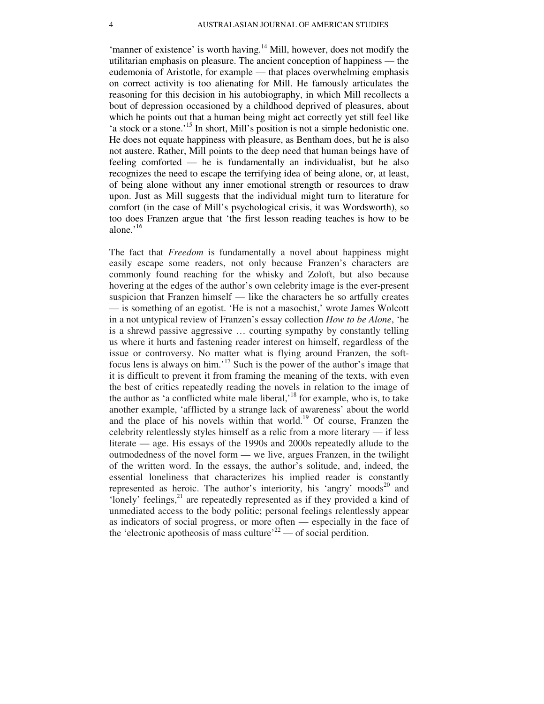'manner of existence' is worth having.<sup>14</sup> Mill, however, does not modify the utilitarian emphasis on pleasure. The ancient conception of happiness — the eudemonia of Aristotle, for example — that places overwhelming emphasis on correct activity is too alienating for Mill. He famously articulates the reasoning for this decision in his autobiography, in which Mill recollects a bout of depression occasioned by a childhood deprived of pleasures, about which he points out that a human being might act correctly yet still feel like 'a stock or a stone.'<sup>15</sup> In short, Mill's position is not a simple hedonistic one. He does not equate happiness with pleasure, as Bentham does, but he is also not austere. Rather, Mill points to the deep need that human beings have of feeling comforted — he is fundamentally an individualist, but he also recognizes the need to escape the terrifying idea of being alone, or, at least, of being alone without any inner emotional strength or resources to draw upon. Just as Mill suggests that the individual might turn to literature for comfort (in the case of Mill's psychological crisis, it was Wordsworth), so too does Franzen argue that 'the first lesson reading teaches is how to be alone.'<sup>16</sup>

The fact that *Freedom* is fundamentally a novel about happiness might easily escape some readers, not only because Franzen's characters are commonly found reaching for the whisky and Zoloft, but also because hovering at the edges of the author's own celebrity image is the ever-present suspicion that Franzen himself — like the characters he so artfully creates — is something of an egotist. 'He is not a masochist,' wrote James Wolcott in a not untypical review of Franzen's essay collection *How to be Alone*, 'he is a shrewd passive aggressive … courting sympathy by constantly telling us where it hurts and fastening reader interest on himself, regardless of the issue or controversy. No matter what is flying around Franzen, the softfocus lens is always on him.'<sup>17</sup> Such is the power of the author's image that it is difficult to prevent it from framing the meaning of the texts, with even the best of critics repeatedly reading the novels in relation to the image of the author as 'a conflicted white male liberal,'<sup>18</sup> for example, who is, to take another example, 'afflicted by a strange lack of awareness' about the world and the place of his novels within that world.<sup>19</sup> Of course, Franzen the celebrity relentlessly styles himself as a relic from a more literary — if less literate — age. His essays of the 1990s and 2000s repeatedly allude to the outmodedness of the novel form — we live, argues Franzen, in the twilight of the written word. In the essays, the author's solitude, and, indeed, the essential loneliness that characterizes his implied reader is constantly represented as heroic. The author's interiority, his 'angry' moods<sup>20</sup> and 'lonely' feelings,<sup>21</sup> are repeatedly represented as if they provided a kind of unmediated access to the body politic; personal feelings relentlessly appear as indicators of social progress, or more often — especially in the face of the 'electronic apotheosis of mass culture'<sup>22</sup> — of social perdition.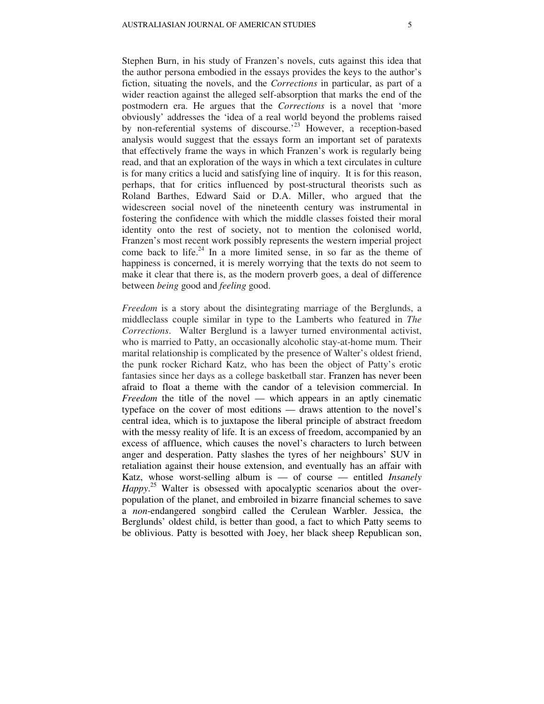Stephen Burn, in his study of Franzen's novels, cuts against this idea that the author persona embodied in the essays provides the keys to the author's fiction, situating the novels, and the *Corrections* in particular, as part of a wider reaction against the alleged self-absorption that marks the end of the postmodern era. He argues that the *Corrections* is a novel that 'more obviously' addresses the 'idea of a real world beyond the problems raised by non-referential systems of discourse.'<sup>23</sup> However, a reception-based analysis would suggest that the essays form an important set of paratexts that effectively frame the ways in which Franzen's work is regularly being read, and that an exploration of the ways in which a text circulates in culture is for many critics a lucid and satisfying line of inquiry. It is for this reason, perhaps, that for critics influenced by post-structural theorists such as Roland Barthes, Edward Said or D.A. Miller, who argued that the widescreen social novel of the nineteenth century was instrumental in fostering the confidence with which the middle classes foisted their moral identity onto the rest of society, not to mention the colonised world, Franzen's most recent work possibly represents the western imperial project come back to life. $24$  In a more limited sense, in so far as the theme of happiness is concerned, it is merely worrying that the texts do not seem to make it clear that there is, as the modern proverb goes, a deal of difference between *being* good and *feeling* good.

*Freedom* is a story about the disintegrating marriage of the Berglunds, a middleclass couple similar in type to the Lamberts who featured in *The Corrections*. Walter Berglund is a lawyer turned environmental activist, who is married to Patty, an occasionally alcoholic stay-at-home mum. Their marital relationship is complicated by the presence of Walter's oldest friend, the punk rocker Richard Katz, who has been the object of Patty's erotic fantasies since her days as a college basketball star. Franzen has never been afraid to float a theme with the candor of a television commercial. In *Freedom* the title of the novel — which appears in an aptly cinematic typeface on the cover of most editions — draws attention to the novel's central idea, which is to juxtapose the liberal principle of abstract freedom with the messy reality of life. It is an excess of freedom, accompanied by an excess of affluence, which causes the novel's characters to lurch between anger and desperation. Patty slashes the tyres of her neighbours' SUV in retaliation against their house extension, and eventually has an affair with Katz, whose worst-selling album is — of course — entitled *Insanely*  Happy.<sup>25</sup> Walter is obsessed with apocalyptic scenarios about the overpopulation of the planet, and embroiled in bizarre financial schemes to save a *non*-endangered songbird called the Cerulean Warbler. Jessica, the Berglunds' oldest child, is better than good, a fact to which Patty seems to be oblivious. Patty is besotted with Joey, her black sheep Republican son,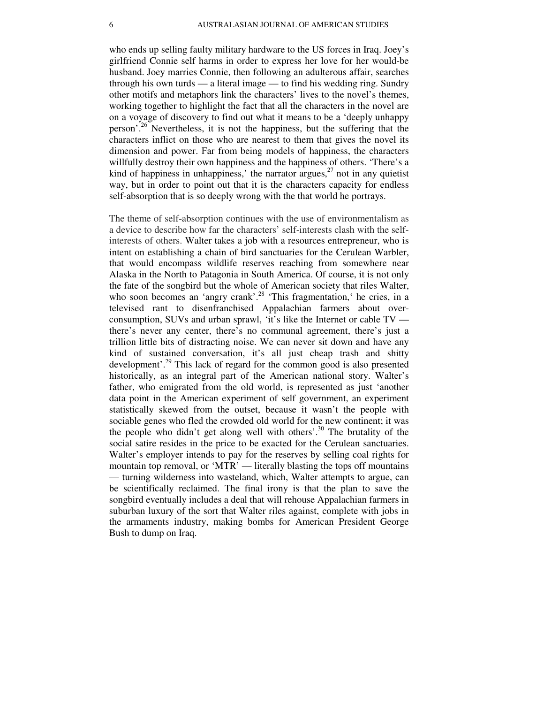who ends up selling faulty military hardware to the US forces in Iraq. Joey's girlfriend Connie self harms in order to express her love for her would-be husband. Joey marries Connie, then following an adulterous affair, searches through his own turds — a literal image — to find his wedding ring. Sundry other motifs and metaphors link the characters' lives to the novel's themes, working together to highlight the fact that all the characters in the novel are on a voyage of discovery to find out what it means to be a 'deeply unhappy person'.<sup>26</sup> Nevertheless, it is not the happiness, but the suffering that the characters inflict on those who are nearest to them that gives the novel its dimension and power. Far from being models of happiness, the characters willfully destroy their own happiness and the happiness of others. 'There's a kind of happiness in unhappiness,' the narrator argues, $^{27}$  not in any quietist way, but in order to point out that it is the characters capacity for endless self-absorption that is so deeply wrong with the that world he portrays.

The theme of self-absorption continues with the use of environmentalism as a device to describe how far the characters' self-interests clash with the selfinterests of others. Walter takes a job with a resources entrepreneur, who is intent on establishing a chain of bird sanctuaries for the Cerulean Warbler, that would encompass wildlife reserves reaching from somewhere near Alaska in the North to Patagonia in South America. Of course, it is not only the fate of the songbird but the whole of American society that riles Walter, who soon becomes an 'angry crank'.<sup>28</sup> 'This fragmentation,' he cries, in a televised rant to disenfranchised Appalachian farmers about overconsumption, SUVs and urban sprawl, 'it's like the Internet or cable TV there's never any center, there's no communal agreement, there's just a trillion little bits of distracting noise. We can never sit down and have any kind of sustained conversation, it's all just cheap trash and shitty development'.<sup>29</sup> This lack of regard for the common good is also presented historically, as an integral part of the American national story. Walter's father, who emigrated from the old world, is represented as just 'another data point in the American experiment of self government, an experiment statistically skewed from the outset, because it wasn't the people with sociable genes who fled the crowded old world for the new continent; it was the people who didn't get along well with others'.<sup>30</sup> The brutality of the social satire resides in the price to be exacted for the Cerulean sanctuaries. Walter's employer intends to pay for the reserves by selling coal rights for mountain top removal, or 'MTR' — literally blasting the tops off mountains — turning wilderness into wasteland, which, Walter attempts to argue, can be scientifically reclaimed. The final irony is that the plan to save the songbird eventually includes a deal that will rehouse Appalachian farmers in suburban luxury of the sort that Walter riles against, complete with jobs in the armaments industry, making bombs for American President George Bush to dump on Iraq.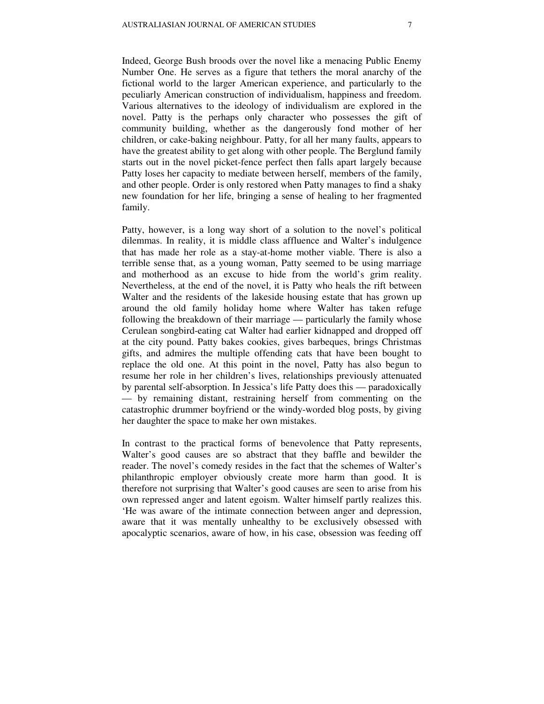Indeed, George Bush broods over the novel like a menacing Public Enemy Number One. He serves as a figure that tethers the moral anarchy of the fictional world to the larger American experience, and particularly to the peculiarly American construction of individualism, happiness and freedom. Various alternatives to the ideology of individualism are explored in the novel. Patty is the perhaps only character who possesses the gift of community building, whether as the dangerously fond mother of her children, or cake-baking neighbour. Patty, for all her many faults, appears to have the greatest ability to get along with other people. The Berglund family starts out in the novel picket-fence perfect then falls apart largely because Patty loses her capacity to mediate between herself, members of the family, and other people. Order is only restored when Patty manages to find a shaky new foundation for her life, bringing a sense of healing to her fragmented family.

Patty, however, is a long way short of a solution to the novel's political dilemmas. In reality, it is middle class affluence and Walter's indulgence that has made her role as a stay-at-home mother viable. There is also a terrible sense that, as a young woman, Patty seemed to be using marriage and motherhood as an excuse to hide from the world's grim reality. Nevertheless, at the end of the novel, it is Patty who heals the rift between Walter and the residents of the lakeside housing estate that has grown up around the old family holiday home where Walter has taken refuge following the breakdown of their marriage — particularly the family whose Cerulean songbird-eating cat Walter had earlier kidnapped and dropped off at the city pound. Patty bakes cookies, gives barbeques, brings Christmas gifts, and admires the multiple offending cats that have been bought to replace the old one. At this point in the novel, Patty has also begun to resume her role in her children's lives, relationships previously attenuated by parental self-absorption. In Jessica's life Patty does this — paradoxically — by remaining distant, restraining herself from commenting on the catastrophic drummer boyfriend or the windy-worded blog posts, by giving her daughter the space to make her own mistakes.

In contrast to the practical forms of benevolence that Patty represents, Walter's good causes are so abstract that they baffle and bewilder the reader. The novel's comedy resides in the fact that the schemes of Walter's philanthropic employer obviously create more harm than good. It is therefore not surprising that Walter's good causes are seen to arise from his own repressed anger and latent egoism. Walter himself partly realizes this. 'He was aware of the intimate connection between anger and depression, aware that it was mentally unhealthy to be exclusively obsessed with apocalyptic scenarios, aware of how, in his case, obsession was feeding off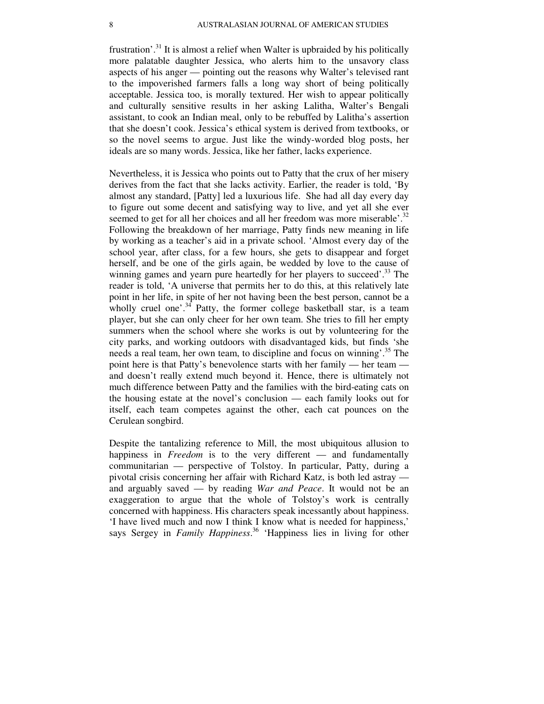frustration'.<sup>31</sup> It is almost a relief when Walter is upbraided by his politically more palatable daughter Jessica, who alerts him to the unsavory class aspects of his anger — pointing out the reasons why Walter's televised rant to the impoverished farmers falls a long way short of being politically acceptable. Jessica too, is morally textured. Her wish to appear politically and culturally sensitive results in her asking Lalitha, Walter's Bengali assistant, to cook an Indian meal, only to be rebuffed by Lalitha's assertion that she doesn't cook. Jessica's ethical system is derived from textbooks, or so the novel seems to argue. Just like the windy-worded blog posts, her ideals are so many words. Jessica, like her father, lacks experience.

Nevertheless, it is Jessica who points out to Patty that the crux of her misery derives from the fact that she lacks activity. Earlier, the reader is told, 'By almost any standard, [Patty] led a luxurious life. She had all day every day to figure out some decent and satisfying way to live, and yet all she ever seemed to get for all her choices and all her freedom was more miserable'.<sup>32</sup> Following the breakdown of her marriage, Patty finds new meaning in life by working as a teacher's aid in a private school. 'Almost every day of the school year, after class, for a few hours, she gets to disappear and forget herself, and be one of the girls again, be wedded by love to the cause of winning games and yearn pure heartedly for her players to succeed'.<sup>33</sup> The reader is told, 'A universe that permits her to do this, at this relatively late point in her life, in spite of her not having been the best person, cannot be a wholly cruel one'.<sup>34</sup> Patty, the former college basketball star, is a team player, but she can only cheer for her own team. She tries to fill her empty summers when the school where she works is out by volunteering for the city parks, and working outdoors with disadvantaged kids, but finds 'she needs a real team, her own team, to discipline and focus on winning'.<sup>35</sup> The point here is that Patty's benevolence starts with her family — her team and doesn't really extend much beyond it. Hence, there is ultimately not much difference between Patty and the families with the bird-eating cats on the housing estate at the novel's conclusion — each family looks out for itself, each team competes against the other, each cat pounces on the Cerulean songbird.

Despite the tantalizing reference to Mill, the most ubiquitous allusion to happiness in *Freedom* is to the very different — and fundamentally communitarian — perspective of Tolstoy. In particular, Patty, during a pivotal crisis concerning her affair with Richard Katz, is both led astray and arguably saved — by reading *War and Peace*. It would not be an exaggeration to argue that the whole of Tolstoy's work is centrally concerned with happiness. His characters speak incessantly about happiness. 'I have lived much and now I think I know what is needed for happiness,' says Sergey in *Family Happiness*. <sup>36</sup> 'Happiness lies in living for other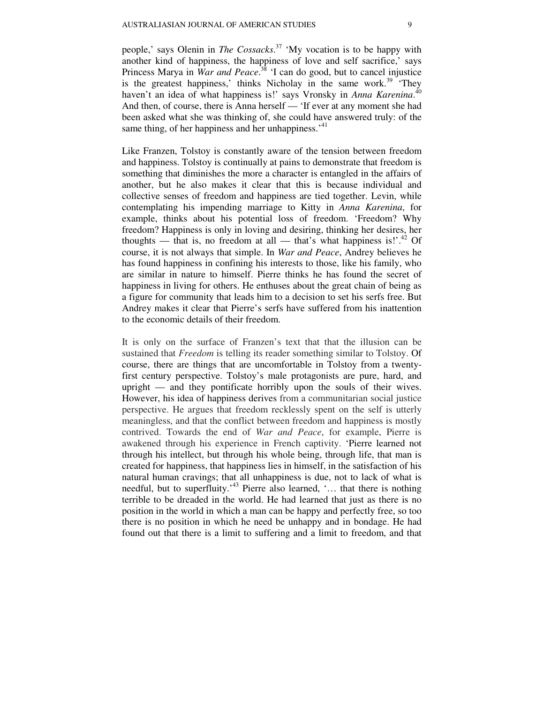people,' says Olenin in *The Cossacks*. <sup>37</sup> 'My vocation is to be happy with another kind of happiness, the happiness of love and self sacrifice,' says Princess Marya in *War and Peace*. <sup>38</sup> 'I can do good, but to cancel injustice is the greatest happiness,' thinks Nicholay in the same work. $39$  'They haven't an idea of what happiness is!' says Vronsky in *Anna Karenina*.<sup>40</sup> And then, of course, there is Anna herself — 'If ever at any moment she had been asked what she was thinking of, she could have answered truly: of the same thing, of her happiness and her unhappiness.<sup>41</sup>

Like Franzen, Tolstoy is constantly aware of the tension between freedom and happiness. Tolstoy is continually at pains to demonstrate that freedom is something that diminishes the more a character is entangled in the affairs of another, but he also makes it clear that this is because individual and collective senses of freedom and happiness are tied together. Levin, while contemplating his impending marriage to Kitty in *Anna Karenina*, for example, thinks about his potential loss of freedom. 'Freedom? Why freedom? Happiness is only in loving and desiring, thinking her desires, her thoughts — that is, no freedom at all — that's what happiness is!'.<sup>42</sup> Of course, it is not always that simple. In *War and Peace*, Andrey believes he has found happiness in confining his interests to those, like his family, who are similar in nature to himself. Pierre thinks he has found the secret of happiness in living for others. He enthuses about the great chain of being as a figure for community that leads him to a decision to set his serfs free. But Andrey makes it clear that Pierre's serfs have suffered from his inattention to the economic details of their freedom.

It is only on the surface of Franzen's text that that the illusion can be sustained that *Freedom* is telling its reader something similar to Tolstoy. Of course, there are things that are uncomfortable in Tolstoy from a twentyfirst century perspective. Tolstoy's male protagonists are pure, hard, and upright — and they pontificate horribly upon the souls of their wives. However, his idea of happiness derives from a communitarian social justice perspective. He argues that freedom recklessly spent on the self is utterly meaningless, and that the conflict between freedom and happiness is mostly contrived. Towards the end of *War and Peace*, for example, Pierre is awakened through his experience in French captivity. 'Pierre learned not through his intellect, but through his whole being, through life, that man is created for happiness, that happiness lies in himself, in the satisfaction of his natural human cravings; that all unhappiness is due, not to lack of what is needful, but to superfluity.<sup>43</sup> Pierre also learned, '... that there is nothing terrible to be dreaded in the world. He had learned that just as there is no position in the world in which a man can be happy and perfectly free, so too there is no position in which he need be unhappy and in bondage. He had found out that there is a limit to suffering and a limit to freedom, and that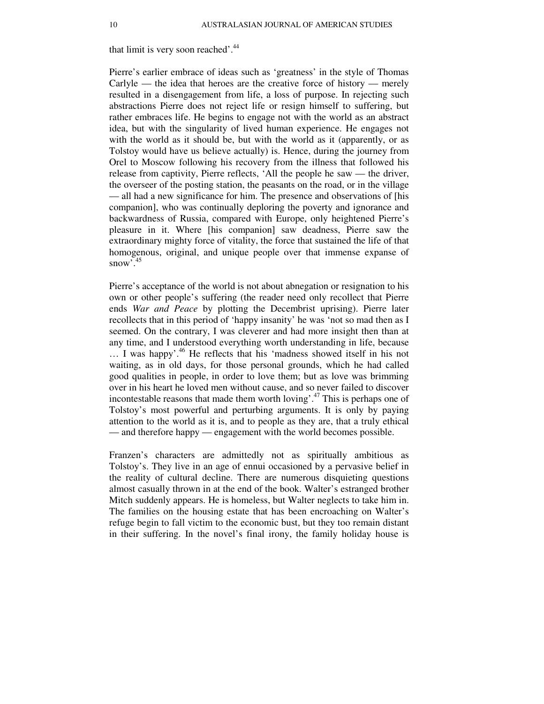that limit is very soon reached'.<sup>44</sup>

Pierre's earlier embrace of ideas such as 'greatness' in the style of Thomas Carlyle — the idea that heroes are the creative force of history — merely resulted in a disengagement from life, a loss of purpose. In rejecting such abstractions Pierre does not reject life or resign himself to suffering, but rather embraces life. He begins to engage not with the world as an abstract idea, but with the singularity of lived human experience. He engages not with the world as it should be, but with the world as it (apparently, or as Tolstoy would have us believe actually) is. Hence, during the journey from Orel to Moscow following his recovery from the illness that followed his release from captivity, Pierre reflects, 'All the people he saw — the driver, the overseer of the posting station, the peasants on the road, or in the village — all had a new significance for him. The presence and observations of [his companion], who was continually deploring the poverty and ignorance and backwardness of Russia, compared with Europe, only heightened Pierre's pleasure in it. Where [his companion] saw deadness, Pierre saw the extraordinary mighty force of vitality, the force that sustained the life of that homogenous, original, and unique people over that immense expanse of snow $\cdot$ .<sup>45</sup>

Pierre's acceptance of the world is not about abnegation or resignation to his own or other people's suffering (the reader need only recollect that Pierre ends *War and Peace* by plotting the Decembrist uprising). Pierre later recollects that in this period of 'happy insanity' he was 'not so mad then as I seemed. On the contrary, I was cleverer and had more insight then than at any time, and I understood everything worth understanding in life, because … I was happy'.<sup>46</sup> He reflects that his 'madness showed itself in his not waiting, as in old days, for those personal grounds, which he had called good qualities in people, in order to love them; but as love was brimming over in his heart he loved men without cause, and so never failed to discover incontestable reasons that made them worth loving'.<sup>47</sup> This is perhaps one of Tolstoy's most powerful and perturbing arguments. It is only by paying attention to the world as it is, and to people as they are, that a truly ethical — and therefore happy — engagement with the world becomes possible.

Franzen's characters are admittedly not as spiritually ambitious as Tolstoy's. They live in an age of ennui occasioned by a pervasive belief in the reality of cultural decline. There are numerous disquieting questions almost casually thrown in at the end of the book. Walter's estranged brother Mitch suddenly appears. He is homeless, but Walter neglects to take him in. The families on the housing estate that has been encroaching on Walter's refuge begin to fall victim to the economic bust, but they too remain distant in their suffering. In the novel's final irony, the family holiday house is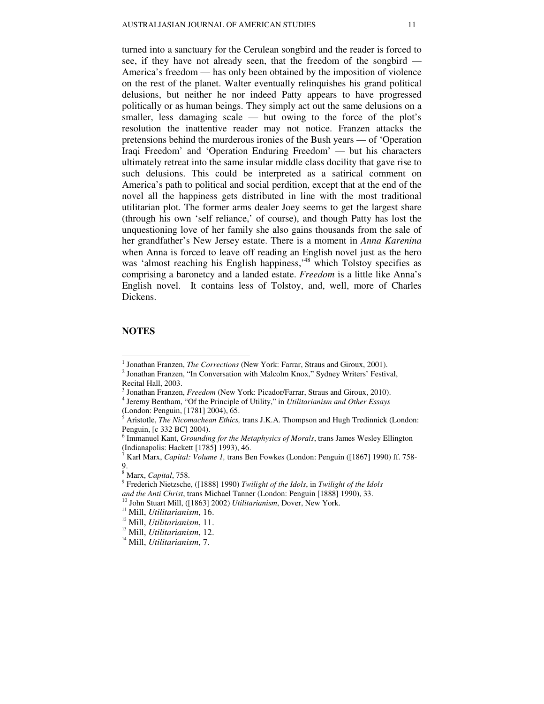turned into a sanctuary for the Cerulean songbird and the reader is forced to see, if they have not already seen, that the freedom of the songbird — America's freedom — has only been obtained by the imposition of violence on the rest of the planet. Walter eventually relinquishes his grand political delusions, but neither he nor indeed Patty appears to have progressed politically or as human beings. They simply act out the same delusions on a smaller, less damaging scale — but owing to the force of the plot's resolution the inattentive reader may not notice. Franzen attacks the pretensions behind the murderous ironies of the Bush years — of 'Operation Iraqi Freedom' and 'Operation Enduring Freedom' — but his characters ultimately retreat into the same insular middle class docility that gave rise to such delusions. This could be interpreted as a satirical comment on America's path to political and social perdition, except that at the end of the novel all the happiness gets distributed in line with the most traditional utilitarian plot. The former arms dealer Joey seems to get the largest share (through his own 'self reliance,' of course), and though Patty has lost the unquestioning love of her family she also gains thousands from the sale of her grandfather's New Jersey estate. There is a moment in *Anna Karenina* when Anna is forced to leave off reading an English novel just as the hero was 'almost reaching his English happiness,<sup>48</sup> which Tolstoy specifies as comprising a baronetcy and a landed estate. *Freedom* is a little like Anna's English novel. It contains less of Tolstoy, and, well, more of Charles Dickens.

#### **NOTES**

 $\overline{a}$ 

(London: Penguin, [1781] 2004), 65.

<sup>&</sup>lt;sup>1</sup> Jonathan Franzen, *The Corrections* (New York: Farrar, Straus and Giroux, 2001).

<sup>&</sup>lt;sup>2</sup> Jonathan Franzen, "In Conversation with Malcolm Knox," Sydney Writers' Festival, Recital Hall, 2003.

<sup>3</sup> Jonathan Franzen, *Freedom* (New York: Picador/Farrar, Straus and Giroux, 2010). 4 Jeremy Bentham, "Of the Principle of Utility," in *Utilitarianism and Other Essays*

<sup>5</sup> Aristotle, *The Nicomachean Ethics,* trans J.K.A. Thompson and Hugh Tredinnick (London: Penguin, [c 332 BC] 2004).

<sup>6</sup> Immanuel Kant, *Grounding for the Metaphysics of Morals*, trans James Wesley Ellington (Indianapolis: Hackett [1785] 1993), 46.

<sup>7</sup> Karl Marx, *Capital: Volume 1,* trans Ben Fowkes (London: Penguin ([1867] 1990) ff. 758- 9.

<sup>8</sup> Marx, *Capital*, 758.

<sup>9</sup> Frederich Nietzsche, ([1888] 1990) *Twilight of the Idols*, in *Twilight of the Idols and the Anti Christ*, trans Michael Tanner (London: Penguin [1888] 1990), 33. <sup>10</sup> John Stuart Mill, ([1863] 2002) *Utilitarianism*, Dover, New York.

<sup>11</sup> Mill, *Utilitarianism*, 16.

<sup>12</sup> Mill, *Utilitarianism*, 11.

<sup>13</sup> Mill, *Utilitarianism*, 12.

<sup>14</sup> Mill, *Utilitarianism*, 7.